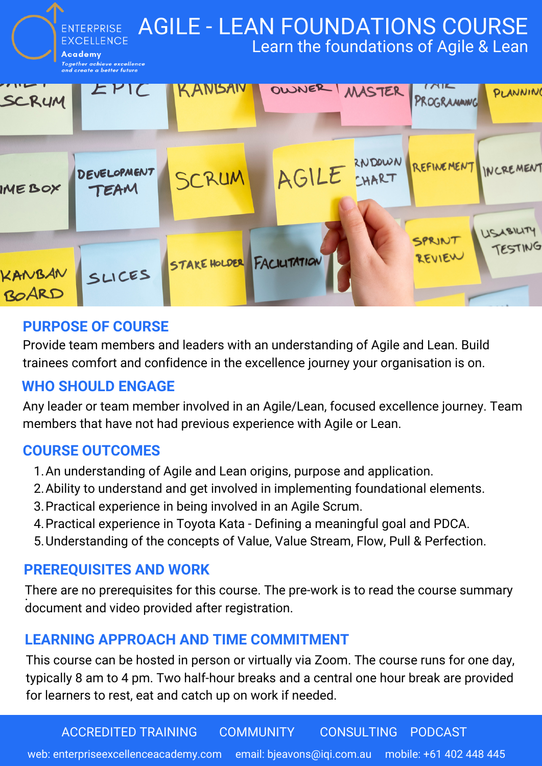

## **PURPOSE OF COURSE**

Provide team members and leaders with an understanding of Agile and Lean. Build trainees comfort and confidence in the excellence journey your organisation is on.

## **WHO SHOULD ENGAGE**

Any leader or team member involved in an Agile/Lean, focused excellence journey. Team members that have not had previous experience with Agile or Lean.

## **COURSE OUTCOMES**

- 1. An understanding of Agile and Lean origins, purpose and application.
- 2. Ability to understand and get involved in implementing foundational elements.
- 3. Practical experience in being involved in an Agile Scrum.
- 4. Practical experience in Toyota Kata Defining a meaningful goal and PDCA.
- 5. Understanding of the concepts of Value, Value Stream, Flow, Pull & Perfection.

#### **PREREQUISITES AND WORK**

There are no prerequisites for this course. The pre-work is to read the course summary document and video provided after registration.

#### **LEARNING APPROACH AND TIME COMMITMENT**

This course can be hosted in person or virtually via Zoom. The course runs for one day, typically 8 am to 4 pm. Two half-hour breaks and a central one hour break are provided for learners to rest, eat and catch up on work if needed.

ACCREDITED TRAINING COMMUNITY CONSULTING PODCAST

web: enterpriseexcellenceacademy.com email: bjeavons@iqi.com.au mobile: +61 402 448 445